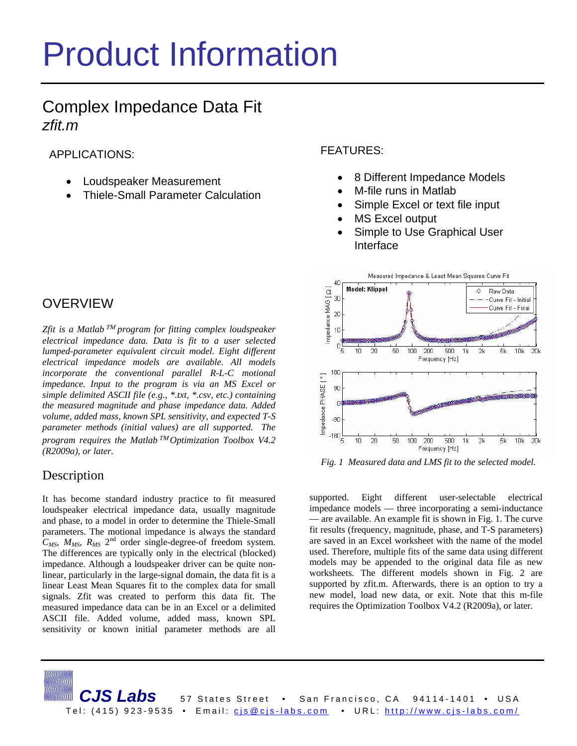# Product Information

# Complex Impedance Data Fit *zfit.m*

APPLICATIONS:

- Loudspeaker Measurement
- Thiele-Small Parameter Calculation

## **OVERVIEW**

*Zfit is a Matlab*™ *program for fitting complex loudspeaker electrical impedance data. Data is fit to a user selected lumped-parameter equivalent circuit model. Eight different electrical impedance models are available. All models incorporate the conventional parallel R-L-C motional impedance. Input to the program is via an MS Excel or simple delimited ASCII file (e.g., \*.txt, \*.csv, etc.) containing the measured magnitude and phase impedance data. Added volume, added mass, known SPL sensitivity, and expected T-S parameter methods (initial values) are all supported. The program requires the Matlab*™ *Optimization Toolbox V4.2 (R2009a), or later.* 

## Description

It has become standard industry practice to fit measured loudspeaker electrical impedance data, usually magnitude and phase, to a model in order to determine the Thiele-Small parameters. The motional impedance is always the standard *CMS, MMS, RMS* 2nd order single-degree-of freedom system. The differences are typically only in the electrical (blocked) impedance. Although a loudspeaker driver can be quite nonlinear, particularly in the large-signal domain, the data fit is a linear Least Mean Squares fit to the complex data for small signals. Zfit was created to perform this data fit. The measured impedance data can be in an Excel or a delimited ASCII file. Added volume, added mass, known SPL sensitivity or known initial parameter methods are all FEATURES:

- 8 Different Impedance Models
- M-file runs in Matlab
- Simple Excel or text file input
- **MS Excel output**
- Simple to Use Graphical User Interface



 *Fig. 1 Measured data and LMS fit to the selected model.* 

supported. Eight different user-selectable electrical impedance models — three incorporating a semi-inductance — are available. An example fit is shown in Fig. 1. The curve fit results (frequency, magnitude, phase, and T-S parameters) are saved in an Excel worksheet with the name of the model used. Therefore, multiple fits of the same data using different models may be appended to the original data file as new worksheets. The different models shown in Fig. 2 are supported by zfit.m. Afterwards, there is an option to try a new model, load new data, or exit. Note that this m-file requires the Optimization Toolbox V4.2 (R2009a), or later.

CJS Labs 57 States Street • San Francisco, CA 94114-1401 • USA Tel: (415) 923-9535 • Email: cjs@cjs-labs.com • URL: http://www.cjs-labs.com/